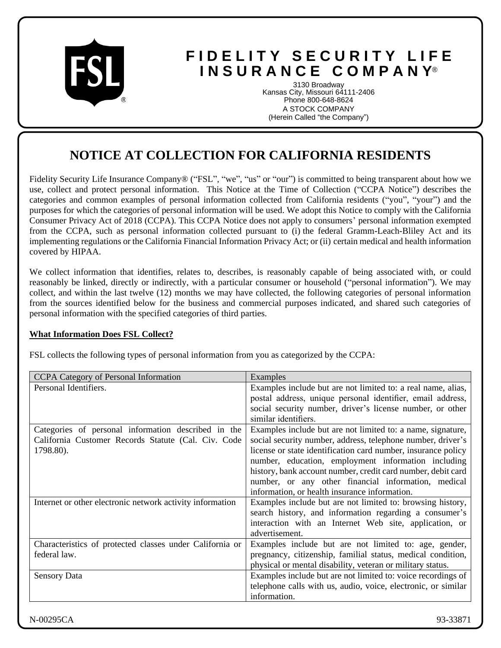

# **F I D E L I T Y S E C U R I T Y L I F E I N S U R A N C E C O M P A N Y**®

3130 Broadway Kansas City, Missouri 64111-2406 Phone 800-648-8624 A STOCK COMPANY (Herein Called "the Company")

## **NOTICE AT COLLECTION FOR CALIFORNIA RESIDENTS**

Fidelity Security Life Insurance Company® ("FSL", "we", "us" or "our") is committed to being transparent about how we use, collect and protect personal information. This Notice at the Time of Collection ("CCPA Notice") describes the categories and common examples of personal information collected from California residents ("you", "your") and the purposes for which the categories of personal information will be used. We adopt this Notice to comply with the California Consumer Privacy Act of 2018 (CCPA). This CCPA Notice does not apply to consumers' personal information exempted from the CCPA, such as personal information collected pursuant to (i) the federal Gramm-Leach-Bliley Act and its implementing regulations or the California Financial Information Privacy Act; or (ii) certain medical and health information covered by HIPAA.

We collect information that identifies, relates to, describes, is reasonably capable of being associated with, or could reasonably be linked, directly or indirectly, with a particular consumer or household ("personal information"). We may collect, and within the last twelve (12) months we may have collected, the following categories of personal information from the sources identified below for the business and commercial purposes indicated, and shared such categories of personal information with the specified categories of third parties.

## **What Information Does FSL Collect?**

FSL collects the following types of personal information from you as categorized by the CCPA:

| Personal Identifiers.<br>Examples include but are not limited to: a real name, alias,<br>postal address, unique personal identifier, email address,<br>social security number, driver's license number, or other<br>similar identifiers.<br>Examples include but are not limited to: a name, signature,<br>Categories of personal information described in the<br>California Customer Records Statute (Cal. Civ. Code<br>social security number, address, telephone number, driver's<br>license or state identification card number, insurance policy<br>1798.80).<br>number, education, employment information including<br>history, bank account number, credit card number, debit card<br>number, or any other financial information, medical<br>information, or health insurance information.<br>Internet or other electronic network activity information<br>Examples include but are not limited to: browsing history,<br>search history, and information regarding a consumer's<br>interaction with an Internet Web site, application, or<br>advertisement.<br>Examples include but are not limited to: age, gender,<br>Characteristics of protected classes under California or<br>federal law.<br>pregnancy, citizenship, familial status, medical condition, | CCPA Category of Personal Information | Examples                                                   |
|------------------------------------------------------------------------------------------------------------------------------------------------------------------------------------------------------------------------------------------------------------------------------------------------------------------------------------------------------------------------------------------------------------------------------------------------------------------------------------------------------------------------------------------------------------------------------------------------------------------------------------------------------------------------------------------------------------------------------------------------------------------------------------------------------------------------------------------------------------------------------------------------------------------------------------------------------------------------------------------------------------------------------------------------------------------------------------------------------------------------------------------------------------------------------------------------------------------------------------------------------------------------|---------------------------------------|------------------------------------------------------------|
|                                                                                                                                                                                                                                                                                                                                                                                                                                                                                                                                                                                                                                                                                                                                                                                                                                                                                                                                                                                                                                                                                                                                                                                                                                                                        |                                       |                                                            |
|                                                                                                                                                                                                                                                                                                                                                                                                                                                                                                                                                                                                                                                                                                                                                                                                                                                                                                                                                                                                                                                                                                                                                                                                                                                                        |                                       |                                                            |
|                                                                                                                                                                                                                                                                                                                                                                                                                                                                                                                                                                                                                                                                                                                                                                                                                                                                                                                                                                                                                                                                                                                                                                                                                                                                        |                                       |                                                            |
|                                                                                                                                                                                                                                                                                                                                                                                                                                                                                                                                                                                                                                                                                                                                                                                                                                                                                                                                                                                                                                                                                                                                                                                                                                                                        |                                       |                                                            |
|                                                                                                                                                                                                                                                                                                                                                                                                                                                                                                                                                                                                                                                                                                                                                                                                                                                                                                                                                                                                                                                                                                                                                                                                                                                                        |                                       |                                                            |
|                                                                                                                                                                                                                                                                                                                                                                                                                                                                                                                                                                                                                                                                                                                                                                                                                                                                                                                                                                                                                                                                                                                                                                                                                                                                        |                                       |                                                            |
|                                                                                                                                                                                                                                                                                                                                                                                                                                                                                                                                                                                                                                                                                                                                                                                                                                                                                                                                                                                                                                                                                                                                                                                                                                                                        |                                       |                                                            |
|                                                                                                                                                                                                                                                                                                                                                                                                                                                                                                                                                                                                                                                                                                                                                                                                                                                                                                                                                                                                                                                                                                                                                                                                                                                                        |                                       |                                                            |
|                                                                                                                                                                                                                                                                                                                                                                                                                                                                                                                                                                                                                                                                                                                                                                                                                                                                                                                                                                                                                                                                                                                                                                                                                                                                        |                                       |                                                            |
|                                                                                                                                                                                                                                                                                                                                                                                                                                                                                                                                                                                                                                                                                                                                                                                                                                                                                                                                                                                                                                                                                                                                                                                                                                                                        |                                       |                                                            |
|                                                                                                                                                                                                                                                                                                                                                                                                                                                                                                                                                                                                                                                                                                                                                                                                                                                                                                                                                                                                                                                                                                                                                                                                                                                                        |                                       |                                                            |
|                                                                                                                                                                                                                                                                                                                                                                                                                                                                                                                                                                                                                                                                                                                                                                                                                                                                                                                                                                                                                                                                                                                                                                                                                                                                        |                                       |                                                            |
|                                                                                                                                                                                                                                                                                                                                                                                                                                                                                                                                                                                                                                                                                                                                                                                                                                                                                                                                                                                                                                                                                                                                                                                                                                                                        |                                       |                                                            |
|                                                                                                                                                                                                                                                                                                                                                                                                                                                                                                                                                                                                                                                                                                                                                                                                                                                                                                                                                                                                                                                                                                                                                                                                                                                                        |                                       |                                                            |
|                                                                                                                                                                                                                                                                                                                                                                                                                                                                                                                                                                                                                                                                                                                                                                                                                                                                                                                                                                                                                                                                                                                                                                                                                                                                        |                                       |                                                            |
|                                                                                                                                                                                                                                                                                                                                                                                                                                                                                                                                                                                                                                                                                                                                                                                                                                                                                                                                                                                                                                                                                                                                                                                                                                                                        |                                       |                                                            |
|                                                                                                                                                                                                                                                                                                                                                                                                                                                                                                                                                                                                                                                                                                                                                                                                                                                                                                                                                                                                                                                                                                                                                                                                                                                                        |                                       |                                                            |
|                                                                                                                                                                                                                                                                                                                                                                                                                                                                                                                                                                                                                                                                                                                                                                                                                                                                                                                                                                                                                                                                                                                                                                                                                                                                        |                                       | physical or mental disability, veteran or military status. |
| Examples include but are not limited to: voice recordings of<br><b>Sensory Data</b>                                                                                                                                                                                                                                                                                                                                                                                                                                                                                                                                                                                                                                                                                                                                                                                                                                                                                                                                                                                                                                                                                                                                                                                    |                                       |                                                            |
| telephone calls with us, audio, voice, electronic, or similar                                                                                                                                                                                                                                                                                                                                                                                                                                                                                                                                                                                                                                                                                                                                                                                                                                                                                                                                                                                                                                                                                                                                                                                                          |                                       |                                                            |
| information.                                                                                                                                                                                                                                                                                                                                                                                                                                                                                                                                                                                                                                                                                                                                                                                                                                                                                                                                                                                                                                                                                                                                                                                                                                                           |                                       |                                                            |